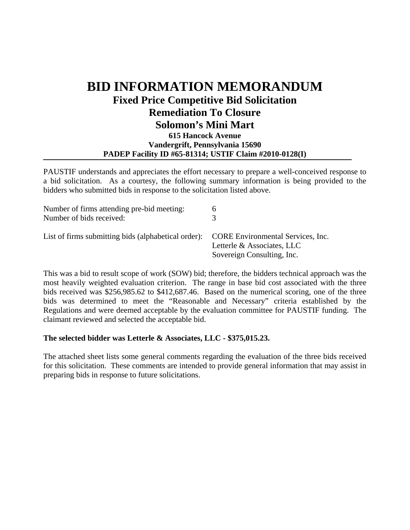## **BID INFORMATION MEMORANDUM Fixed Price Competitive Bid Solicitation Remediation To Closure Solomon's Mini Mart 615 Hancock Avenue Vandergrift, Pennsylvania 15690 PADEP Facility ID #65-81314; USTIF Claim #2010-0128(I)**

PAUSTIF understands and appreciates the effort necessary to prepare a well-conceived response to a bid solicitation. As a courtesy, the following summary information is being provided to the bidders who submitted bids in response to the solicitation listed above.

| Number of firms attending pre-bid meeting:<br>Number of bids received:                | <sub>0</sub>                                             |
|---------------------------------------------------------------------------------------|----------------------------------------------------------|
| List of firms submitting bids (alphabetical order): CORE Environmental Services, Inc. | Letterle & Associates, LLC<br>Sovereign Consulting, Inc. |

This was a bid to result scope of work (SOW) bid; therefore, the bidders technical approach was the most heavily weighted evaluation criterion. The range in base bid cost associated with the three bids received was \$256,985.62 to \$412,687.46. Based on the numerical scoring, one of the three bids was determined to meet the "Reasonable and Necessary" criteria established by the Regulations and were deemed acceptable by the evaluation committee for PAUSTIF funding. The claimant reviewed and selected the acceptable bid.

## **The selected bidder was Letterle & Associates, LLC - \$375,015.23.**

The attached sheet lists some general comments regarding the evaluation of the three bids received for this solicitation. These comments are intended to provide general information that may assist in preparing bids in response to future solicitations.